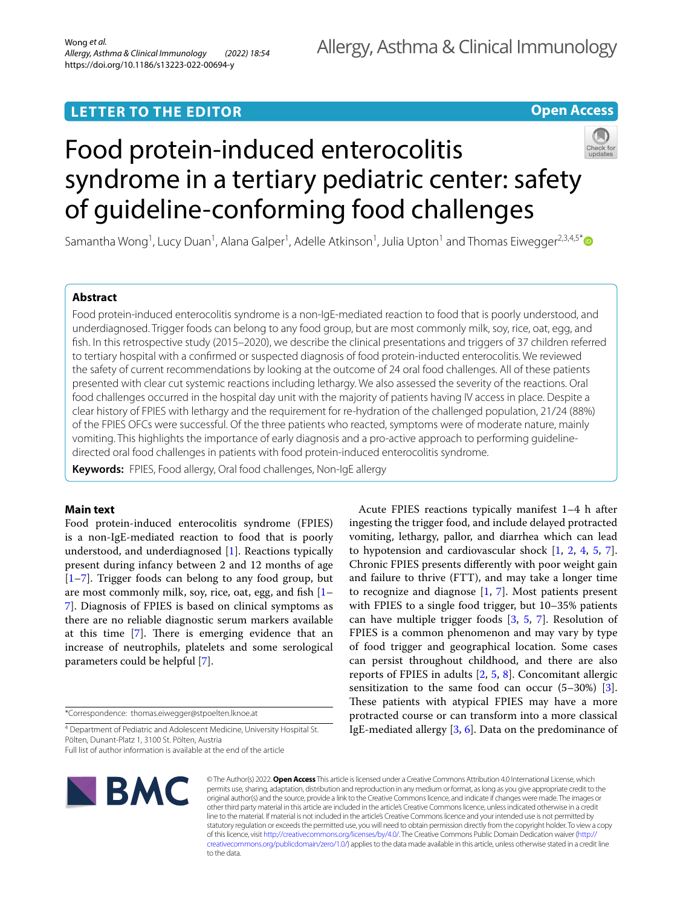# **LETTER TO THE EDITOR**

# **Open Access**



# Food protein-induced enterocolitis syndrome in a tertiary pediatric center: safety of guideline-conforming food challenges

Samantha Wong<sup>1</sup>, Lucy Duan<sup>1</sup>, Alana Galper<sup>1</sup>, Adelle Atkinson<sup>1</sup>, Julia Upton<sup>1</sup> and Thomas Eiwegger<sup>2,3,4,5\*</sup>

# **Abstract**

Food protein-induced enterocolitis syndrome is a non-IgE-mediated reaction to food that is poorly understood, and underdiagnosed. Trigger foods can belong to any food group, but are most commonly milk, soy, rice, oat, egg, and fsh. In this retrospective study (2015–2020), we describe the clinical presentations and triggers of 37 children referred to tertiary hospital with a confrmed or suspected diagnosis of food protein-inducted enterocolitis. We reviewed the safety of current recommendations by looking at the outcome of 24 oral food challenges. All of these patients presented with clear cut systemic reactions including lethargy. We also assessed the severity of the reactions. Oral food challenges occurred in the hospital day unit with the majority of patients having IV access in place. Despite a clear history of FPIES with lethargy and the requirement for re-hydration of the challenged population, 21/24 (88%) of the FPIES OFCs were successful. Of the three patients who reacted, symptoms were of moderate nature, mainly vomiting. This highlights the importance of early diagnosis and a pro-active approach to performing guidelinedirected oral food challenges in patients with food protein-induced enterocolitis syndrome.

**Keywords:** FPIES, Food allergy, Oral food challenges, Non-IgE allergy

## **Main text**

Food protein-induced enterocolitis syndrome (FPIES) is a non-IgE-mediated reaction to food that is poorly understood, and underdiagnosed [[1\]](#page-2-0). Reactions typically present during infancy between 2 and 12 months of age  $[1–7]$  $[1–7]$  $[1–7]$ . Trigger foods can belong to any food group, but are most commonly milk, soy, rice, oat, egg, and fish  $[1-$ [7\]](#page-3-0). Diagnosis of FPIES is based on clinical symptoms as there are no reliable diagnostic serum markers available at this time  $[7]$  $[7]$ . There is emerging evidence that an increase of neutrophils, platelets and some serological parameters could be helpful [[7\]](#page-3-0).

\*Correspondence: thomas.eiwegger@stpoelten.lknoe.at

<sup>4</sup> Department of Pediatric and Adolescent Medicine, University Hospital St. Pölten, Dunant-Platz 1, 3100 St. Pölten, Austria

Full list of author information is available at the end of the article



Acute FPIES reactions typically manifest 1–4 h after ingesting the trigger food, and include delayed protracted vomiting, lethargy, pallor, and diarrhea which can lead to hypotension and cardiovascular shock  $[1, 2, 4, 5, 7]$  $[1, 2, 4, 5, 7]$  $[1, 2, 4, 5, 7]$  $[1, 2, 4, 5, 7]$  $[1, 2, 4, 5, 7]$  $[1, 2, 4, 5, 7]$  $[1, 2, 4, 5, 7]$  $[1, 2, 4, 5, 7]$  $[1, 2, 4, 5, 7]$  $[1, 2, 4, 5, 7]$ . Chronic FPIES presents diferently with poor weight gain and failure to thrive (FTT), and may take a longer time to recognize and diagnose  $[1, 7]$  $[1, 7]$  $[1, 7]$ . Most patients present with FPIES to a single food trigger, but 10–35% patients can have multiple trigger foods  $[3, 5, 7]$  $[3, 5, 7]$  $[3, 5, 7]$  $[3, 5, 7]$  $[3, 5, 7]$  $[3, 5, 7]$ . Resolution of FPIES is a common phenomenon and may vary by type of food trigger and geographical location. Some cases can persist throughout childhood, and there are also reports of FPIES in adults [\[2](#page-3-1), [5](#page-3-3), [8\]](#page-3-5). Concomitant allergic sensitization to the same food can occur (5–30%) [\[3](#page-3-4)]. These patients with atypical FPIES may have a more protracted course or can transform into a more classical IgE-mediated allergy  $[3, 6]$  $[3, 6]$  $[3, 6]$  $[3, 6]$ . Data on the predominance of

© The Author(s) 2022. **Open Access** This article is licensed under a Creative Commons Attribution 4.0 International License, which permits use, sharing, adaptation, distribution and reproduction in any medium or format, as long as you give appropriate credit to the original author(s) and the source, provide a link to the Creative Commons licence, and indicate if changes were made. The images or other third party material in this article are included in the article's Creative Commons licence, unless indicated otherwise in a credit line to the material. If material is not included in the article's Creative Commons licence and your intended use is not permitted by statutory regulation or exceeds the permitted use, you will need to obtain permission directly from the copyright holder. To view a copy of this licence, visit<http://creativecommons.org/licenses/by/4.0/>. The Creative Commons Public Domain Dedication waiver [\(http://](http://creativecommons.org/publicdomain/zero/1.0/) [creativecommons.org/publicdomain/zero/1.0/](http://creativecommons.org/publicdomain/zero/1.0/)) applies to the data made available in this article, unless otherwise stated in a credit line to the data.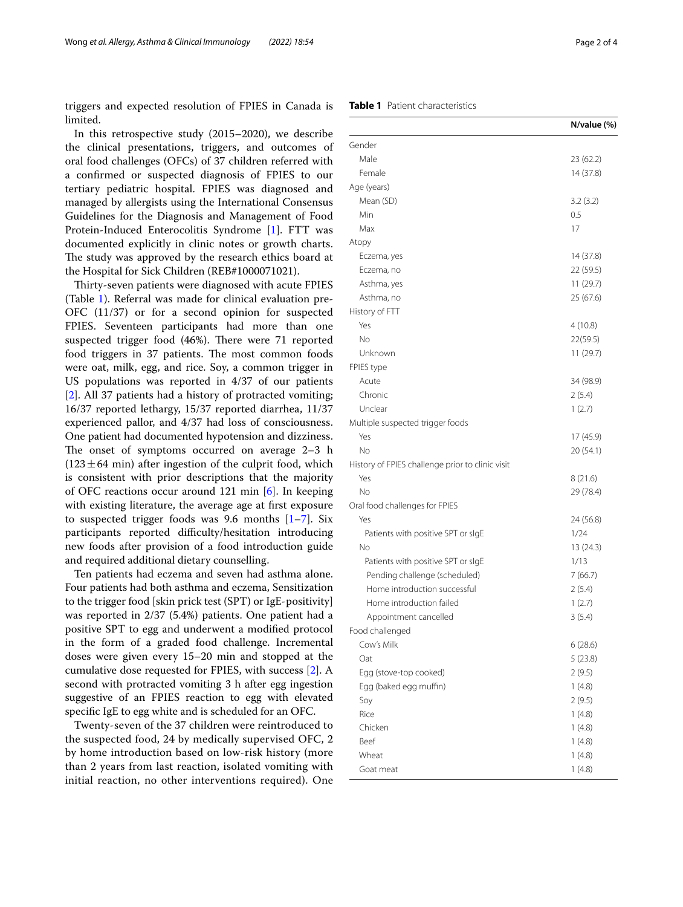triggers and expected resolution of FPIES in Canada is limited.

In this retrospective study (2015–2020), we describe the clinical presentations, triggers, and outcomes of oral food challenges (OFCs) of 37 children referred with a confrmed or suspected diagnosis of FPIES to our tertiary pediatric hospital. FPIES was diagnosed and managed by allergists using the International Consensus Guidelines for the Diagnosis and Management of Food Protein-Induced Enterocolitis Syndrome [\[1\]](#page-2-0). FTT was documented explicitly in clinic notes or growth charts. The study was approved by the research ethics board at the Hospital for Sick Children (REB#1000071021).

Thirty-seven patients were diagnosed with acute FPIES (Table [1\)](#page-1-0). Referral was made for clinical evaluation pre-OFC (11/37) or for a second opinion for suspected FPIES. Seventeen participants had more than one suspected trigger food (46%). There were 71 reported food triggers in 37 patients. The most common foods were oat, milk, egg, and rice. Soy, a common trigger in US populations was reported in 4/37 of our patients [[2\]](#page-3-1). All 37 patients had a history of protracted vomiting; 16/37 reported lethargy, 15/37 reported diarrhea, 11/37 experienced pallor, and 4/37 had loss of consciousness. One patient had documented hypotension and dizziness. The onset of symptoms occurred on average  $2-3$  h  $(123 \pm 64 \text{ min})$  after ingestion of the culprit food, which is consistent with prior descriptions that the majority of OFC reactions occur around 121 min [[6\]](#page-3-6). In keeping with existing literature, the average age at frst exposure to suspected trigger foods was 9.6 months  $[1–7]$  $[1–7]$  $[1–7]$ . Six participants reported difficulty/hesitation introducing new foods after provision of a food introduction guide and required additional dietary counselling.

Ten patients had eczema and seven had asthma alone. Four patients had both asthma and eczema, Sensitization to the trigger food [skin prick test (SPT) or IgE-positivity] was reported in 2/37 (5.4%) patients. One patient had a positive SPT to egg and underwent a modifed protocol in the form of a graded food challenge. Incremental doses were given every 15–20 min and stopped at the cumulative dose requested for FPIES, with success [\[2](#page-3-1)]. A second with protracted vomiting 3 h after egg ingestion suggestive of an FPIES reaction to egg with elevated specifc IgE to egg white and is scheduled for an OFC.

Twenty-seven of the 37 children were reintroduced to the suspected food, 24 by medically supervised OFC, 2 by home introduction based on low-risk history (more than 2 years from last reaction, isolated vomiting with initial reaction, no other interventions required). One

### <span id="page-1-0"></span>**Table 1** Patient characteristics

|                                                               | N/value (%) |
|---------------------------------------------------------------|-------------|
| Gender                                                        |             |
| Male                                                          | 23 (62.2)   |
| Female                                                        | 14 (37.8)   |
| Age (years)                                                   |             |
| Mean (SD)                                                     | 3.2(3.2)    |
| Min                                                           | 0.5         |
| Max                                                           | 17          |
| Atopy                                                         |             |
| Eczema, yes                                                   | 14 (37.8)   |
| Eczema, no                                                    | 22 (59.5)   |
| Asthma, yes                                                   | 11(29.7)    |
| Asthma, no                                                    | 25 (67.6)   |
| History of FTT                                                |             |
| Yes                                                           | 4(10.8)     |
| No                                                            | 22(59.5)    |
| Unknown                                                       | 11(29.7)    |
| FPIES type                                                    |             |
| Acute                                                         | 34 (98.9)   |
| Chronic                                                       | 2(5.4)      |
| Unclear                                                       | 1(2.7)      |
| Multiple suspected trigger foods                              |             |
| Yes                                                           | 17 (45.9)   |
| No                                                            | 20 (54.1)   |
| History of FPIES challenge prior to clinic visit              |             |
| Yes                                                           | 8(21.6)     |
| No                                                            | 29 (78.4)   |
| Oral food challenges for FPIES                                |             |
| Yes                                                           | 24 (56.8)   |
| Patients with positive SPT or sIgE<br>No                      | 1/24        |
|                                                               | 13 (24.3)   |
| Patients with positive SPT or sIgE                            | 1/13        |
| Pending challenge (scheduled)<br>Home introduction successful | 7(66.7)     |
| Home introduction failed                                      | 2(5.4)      |
|                                                               | 1(2.7)      |
| Appointment cancelled<br>Food challenged                      | 3(5.4)      |
| Cow's Milk                                                    | 6(28.6)     |
| Oat                                                           | 5(23.8)     |
| Egg (stove-top cooked)                                        | 2(9.5)      |
| Egg (baked egg muffin)                                        | 1(4.8)      |
| Soy                                                           | 2(9.5)      |
| Rice                                                          | 1(4.8)      |
| Chicken                                                       | 1(4.8)      |
| Beef                                                          | 1(4.8)      |
| Wheat                                                         | 1(4.8)      |
| Goat meat                                                     | 1(4.8)      |
|                                                               |             |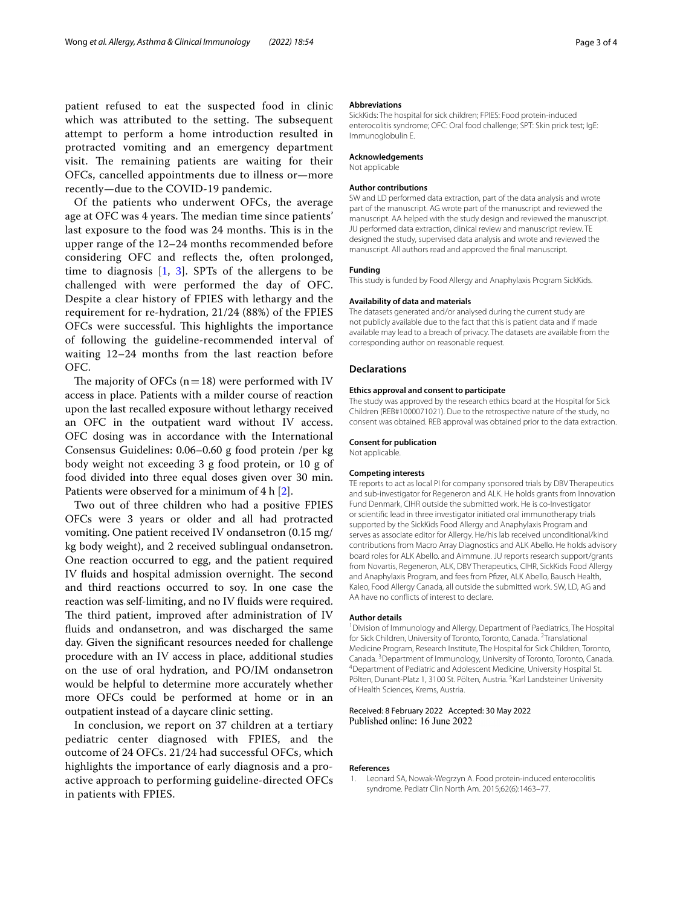patient refused to eat the suspected food in clinic which was attributed to the setting. The subsequent attempt to perform a home introduction resulted in protracted vomiting and an emergency department visit. The remaining patients are waiting for their OFCs, cancelled appointments due to illness or—more recently—due to the COVID-19 pandemic.

Of the patients who underwent OFCs, the average age at OFC was 4 years. The median time since patients' last exposure to the food was 24 months. This is in the upper range of the 12–24 months recommended before considering OFC and refects the, often prolonged, time to diagnosis  $[1, 3]$  $[1, 3]$  $[1, 3]$  $[1, 3]$ . SPTs of the allergens to be challenged with were performed the day of OFC. Despite a clear history of FPIES with lethargy and the requirement for re-hydration, 21/24 (88%) of the FPIES OFCs were successful. This highlights the importance of following the guideline-recommended interval of waiting 12–24 months from the last reaction before OFC.

The majority of OFCs  $(n=18)$  were performed with IV access in place. Patients with a milder course of reaction upon the last recalled exposure without lethargy received an OFC in the outpatient ward without IV access. OFC dosing was in accordance with the International Consensus Guidelines: 0.06–0.60 g food protein /per kg body weight not exceeding 3 g food protein, or 10 g of food divided into three equal doses given over 30 min. Patients were observed for a minimum of 4 h [\[2](#page-3-1)].

Two out of three children who had a positive FPIES OFCs were 3 years or older and all had protracted vomiting. One patient received IV ondansetron (0.15 mg/ kg body weight), and 2 received sublingual ondansetron. One reaction occurred to egg, and the patient required IV fluids and hospital admission overnight. The second and third reactions occurred to soy. In one case the reaction was self-limiting, and no IV fuids were required. The third patient, improved after administration of IV fuids and ondansetron, and was discharged the same day. Given the signifcant resources needed for challenge procedure with an IV access in place, additional studies on the use of oral hydration, and PO/IM ondansetron would be helpful to determine more accurately whether more OFCs could be performed at home or in an outpatient instead of a daycare clinic setting.

In conclusion, we report on 37 children at a tertiary pediatric center diagnosed with FPIES, and the outcome of 24 OFCs. 21/24 had successful OFCs, which highlights the importance of early diagnosis and a proactive approach to performing guideline-directed OFCs in patients with FPIES.

#### **Abbreviations**

SickKids: The hospital for sick children; FPIES: Food protein-induced enterocolitis syndrome; OFC: Oral food challenge; SPT: Skin prick test; IgE: Immunoglobulin E.

#### **Acknowledgements**

Not applicable

#### **Author contributions**

SW and LD performed data extraction, part of the data analysis and wrote part of the manuscript. AG wrote part of the manuscript and reviewed the manuscript. AA helped with the study design and reviewed the manuscript. JU performed data extraction, clinical review and manuscript review. TE designed the study, supervised data analysis and wrote and reviewed the manuscript. All authors read and approved the fnal manuscript.

#### **Funding**

This study is funded by Food Allergy and Anaphylaxis Program SickKids.

#### **Availability of data and materials**

The datasets generated and/or analysed during the current study are not publicly available due to the fact that this is patient data and if made available may lead to a breach of privacy. The datasets are available from the corresponding author on reasonable request.

#### **Declarations**

#### **Ethics approval and consent to participate**

The study was approved by the research ethics board at the Hospital for Sick Children (REB#1000071021). Due to the retrospective nature of the study, no consent was obtained. REB approval was obtained prior to the data extraction.

#### **Consent for publication**

Not applicable.

#### **Competing interests**

TE reports to act as local PI for company sponsored trials by DBV Therapeutics and sub-investigator for Regeneron and ALK. He holds grants from Innovation Fund Denmark, CIHR outside the submitted work. He is co-Investigator or scientifc lead in three investigator initiated oral immunotherapy trials supported by the SickKids Food Allergy and Anaphylaxis Program and serves as associate editor for Allergy. He/his lab received unconditional/kind contributions from Macro Array Diagnostics and ALK Abello. He holds advisory board roles for ALK Abello. and Aimmune. JU reports research support/grants from Novartis, Regeneron, ALK, DBV Therapeutics, CIHR, SickKids Food Allergy and Anaphylaxis Program, and fees from Pfzer, ALK Abello, Bausch Health, Kaleo, Food Allergy Canada, all outside the submitted work. SW, LD, AG and AA have no conficts of interest to declare.

#### **Author details**

<sup>1</sup> Division of Immunology and Allergy, Department of Paediatrics, The Hospital for Sick Children, University of Toronto, Toronto, Canada. <sup>2</sup> Translational Medicine Program, Research Institute, The Hospital for Sick Children, Toronto, Canada. <sup>3</sup> Department of Immunology, University of Toronto, Toronto, Canada.<br><sup>4</sup> Department of Pediatric and Adolescent Medicine. University Hospital St. <sup>4</sup>Department of Pediatric and Adolescent Medicine, University Hospital St. Pölten, Dunant-Platz 1, 3100 St. Pölten, Austria. <sup>5</sup> Karl Landsteiner University of Health Sciences, Krems, Austria.

#### Received: 8 February 2022 Accepted: 30 May 2022 Published online: 16 June 2022

#### **References**

<span id="page-2-0"></span>1. Leonard SA, Nowak-Wegrzyn A. Food protein-induced enterocolitis syndrome. Pediatr Clin North Am. 2015;62(6):1463–77.